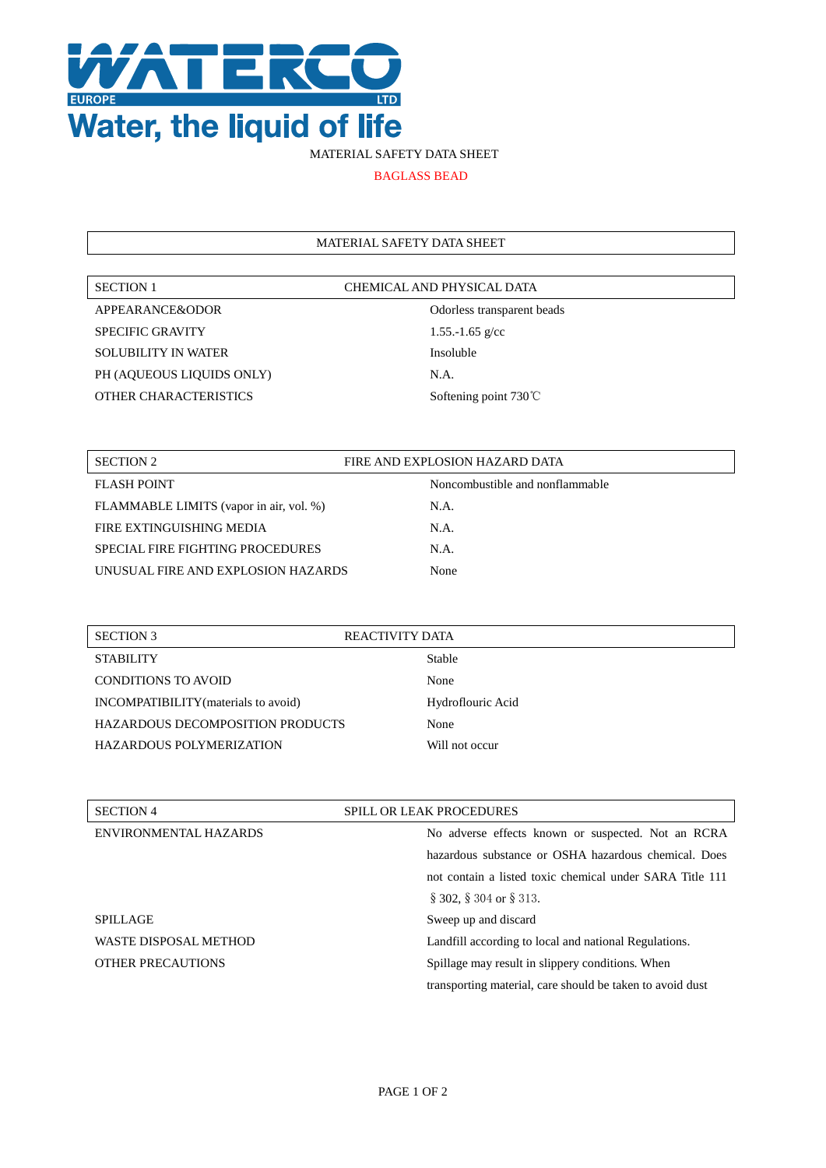

## MATERIAL SAFETY DATA SHEET

BAGLASS BEAD

## MATERIAL SAFETY DATA SHEET

| <b>SECTION 1</b>             | CHEMICAL AND PHYSICAL DATA |
|------------------------------|----------------------------|
| APPEARANCE&ODOR              | Odorless transparent l     |
| <b>SPECIFIC GRAVITY</b>      | 1.55.-1.65 $g$ /cc         |
| <b>SOLUBILITY IN WATER</b>   | Insoluble                  |
| PH (AQUEOUS LIQUIDS ONLY)    | N.A.                       |
| <b>OTHER CHARACTERISTICS</b> | Softening point 730℃       |

Odorless transparent beads 1.55.-1.65 g/cc Insoluble N.A. Softening point 730℃

| SECTION 2                               | FIRE AND EXPLOSION HAZARD DATA  |
|-----------------------------------------|---------------------------------|
| <b>FLASH POINT</b>                      | Noncombustible and nonflammable |
| FLAMMABLE LIMITS (vapor in air, vol. %) | N.A.                            |
| FIRE EXTINGUISHING MEDIA                | $NA$ .                          |
| SPECIAL FIRE FIGHTING PROCEDURES        | N.A.                            |
| UNUSUAL FIRE AND EXPLOSION HAZARDS      | None                            |

| <b>SECTION 3</b>                        | REACTIVITY DATA   |  |
|-----------------------------------------|-------------------|--|
| <b>STABILITY</b>                        | <b>Stable</b>     |  |
| CONDITIONS TO AVOID                     | None              |  |
| INCOMPATIBILITY (materials to avoid)    | Hydroflouric Acid |  |
| <b>HAZARDOUS DECOMPOSITION PRODUCTS</b> | None              |  |
| HAZARDOUS POLYMERIZATION                | Will not occur    |  |
|                                         |                   |  |

| <b>SECTION 4</b>             | <b>SPILL OR LEAK PROCEDURES</b>                           |
|------------------------------|-----------------------------------------------------------|
| ENVIRONMENTAL HAZARDS        | No adverse effects known or suspected. Not an RCRA        |
|                              | hazardous substance or OSHA hazardous chemical. Does      |
|                              | not contain a listed toxic chemical under SARA Title 111  |
|                              | $\S$ 302, $\S$ 304 or $\S$ 313.                           |
| <b>SPILLAGE</b>              | Sweep up and discard                                      |
| <b>WASTE DISPOSAL METHOD</b> | Landfill according to local and national Regulations.     |
| <b>OTHER PRECAUTIONS</b>     | Spillage may result in slippery conditions. When          |
|                              | transporting material, care should be taken to avoid dust |